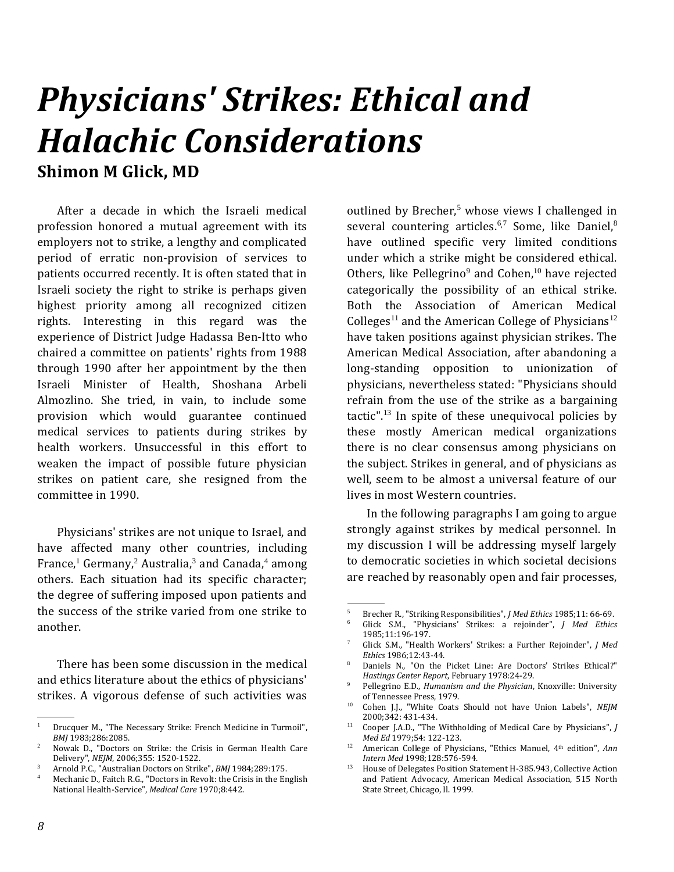## *Physicians' Strikes: Ethical and Halachic Considerations* **Shimon M Glick, MD**

After a decade in which the Israeli medical profession honored a mutual agreement with its employers not to strike, a lengthy and complicated period of erratic non-provision of services to patients occurred recently. It is often stated that in Israeli society the right to strike is perhaps given highest priority among all recognized citizen rights. Interesting in this regard was the experience of District Judge Hadassa Ben-Itto who chaired a committee on patients' rights from 1988 through 1990 after her appointment by the then Israeli Minister of Health, Shoshana Arbeli Almozlino. She tried, in vain, to include some provision which would guarantee continued medical services to patients during strikes by health workers. Unsuccessful in this effort to weaken the impact of possible future physician strikes on patient care, she resigned from the committee in 1990.

Physicians' strikes are not unique to Israel, and have affected many other countries, including France,<sup>1</sup> Germany,<sup>2</sup> Australia,<sup>3</sup> and Canada,<sup>4</sup> among others. Each situation had its specific character; the degree of suffering imposed upon patients and the success of the strike varied from one strike to another.

There has been some discussion in the medical and ethics literature about the ethics of physicians' strikes. A vigorous defense of such activities was

outlined by Brecher, $5$  whose views I challenged in several countering articles.<sup>6,7</sup> Some, like Daniel,<sup>8</sup> have outlined specific very limited conditions under which a strike might be considered ethical. Others, like Pellegrino<sup>9</sup> and Cohen,<sup>10</sup> have rejected categorically the possibility of an ethical strike. Both the Association of American Medical Colleges<sup>11</sup> and the American College of Physicians<sup>12</sup> have taken positions against physician strikes. The American Medical Association, after abandoning a long-standing opposition to unionization of physicians, nevertheless stated: "Physicians should refrain from the use of the strike as a bargaining tactic". <sup>13</sup> In spite of these unequivocal policies by these mostly American medical organizations there is no clear consensus among physicians on the subject. Strikes in general, and of physicians as well, seem to be almost a universal feature of our lives in most Western countries.

In the following paragraphs I am going to argue strongly against strikes by medical personnel. In my discussion I will be addressing myself largely to democratic societies in which societal decisions are reached by reasonably open and fair processes,

.

 <sup>.</sup> <sup>1</sup> Drucquer M., "The Necessary Strike: French Medicine in Turmoil", *BMJ* 1983;286:2085.

<sup>2</sup> Nowak D., "Doctors on Strike: the Crisis in German Health Care Delivery", *NEJM*, 2006;355: 1520-1522.

<sup>3</sup> Arnold P.C., "Australian Doctors on Strike", *BMJ* 1984;289:175.

Mechanic D., Faitch R.G., "Doctors in Revolt: the Crisis in the English National Health-Service", *Medical Care* 1970;8:442.

<sup>5</sup> Brecher R., "Striking Responsibilities", *J Med Ethics* 1985;11: 66-69.

<sup>6</sup> Glick S.M., "Physicians' Strikes: a rejoinder", *J Med Ethics* 1985;11:196-197.

<sup>7</sup> Glick S.M., "Health Workers' Strikes: a Further Rejoinder", *J Med Ethics* 1986;12:43-44.

<sup>8</sup> Daniels N., "On the Picket Line: Are Doctors' Strikes Ethical?" *Hastings Center Report*, February 1978:24-29.

<sup>9</sup> Pellegrino E.D., *Humanism and the Physician*, Knoxville: University of Tennessee Press, 1979.

<sup>10</sup> Cohen J.J., "White Coats Should not have Union Labels", *NEJM* 2000;342: 431-434.

<sup>11</sup> Cooper J.A.D., "The Withholding of Medical Care by Physicians", *J Med Ed* 1979;54: 122-123.

<sup>12</sup> American College of Physicians, "Ethics Manuel, 4th edition", *Ann Intern Med* 1998;128:576-594.

<sup>&</sup>lt;sup>13</sup> House of Delegates Position Statement H-385.943, Collective Action and Patient Advocacy, American Medical Association, 515 North State Street, Chicago, Il. 1999.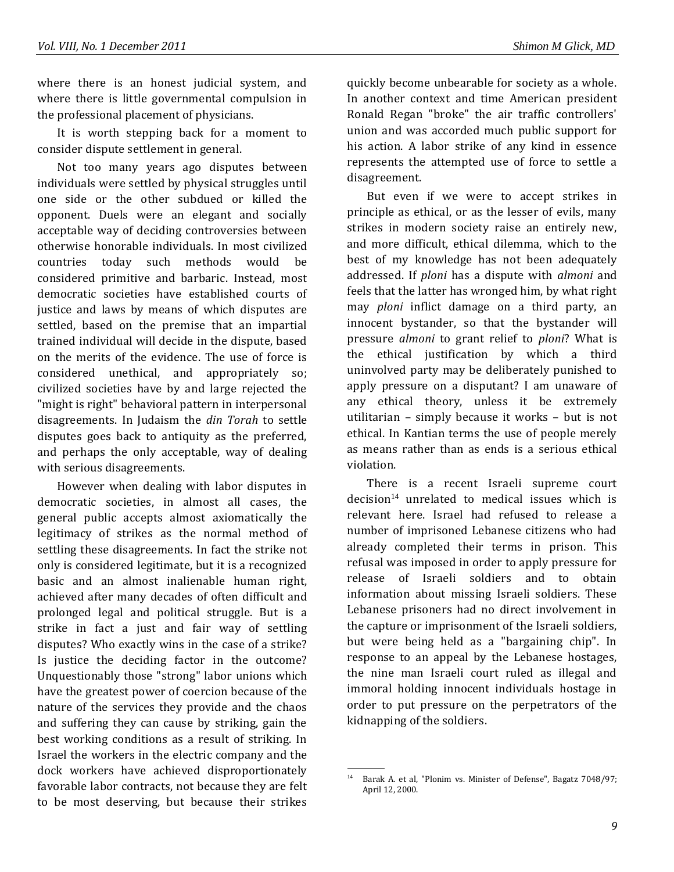where there is an honest judicial system, and where there is little governmental compulsion in the professional placement of physicians.

It is worth stepping back for a moment to consider dispute settlement in general.

Not too many years ago disputes between individuals were settled by physical struggles until one side or the other subdued or killed the opponent. Duels were an elegant and socially acceptable way of deciding controversies between otherwise honorable individuals. In most civilized countries today such methods would be considered primitive and barbaric. Instead, most democratic societies have established courts of justice and laws by means of which disputes are settled, based on the premise that an impartial trained individual will decide in the dispute, based on the merits of the evidence. The use of force is considered unethical, and appropriately so; civilized societies have by and large rejected the "might is right" behavioral pattern in interpersonal disagreements. In Judaism the *din Torah* to settle disputes goes back to antiquity as the preferred, and perhaps the only acceptable, way of dealing with serious disagreements.

However when dealing with labor disputes in democratic societies, in almost all cases, the general public accepts almost axiomatically the legitimacy of strikes as the normal method of settling these disagreements. In fact the strike not only is considered legitimate, but it is a recognized basic and an almost inalienable human right, achieved after many decades of often difficult and prolonged legal and political struggle. But is a strike in fact a just and fair way of settling disputes? Who exactly wins in the case of a strike? Is justice the deciding factor in the outcome? Unquestionably those "strong" labor unions which have the greatest power of coercion because of the nature of the services they provide and the chaos and suffering they can cause by striking, gain the best working conditions as a result of striking. In Israel the workers in the electric company and the dock workers have achieved disproportionately favorable labor contracts, not because they are felt to be most deserving, but because their strikes

quickly become unbearable for society as a whole. In another context and time American president Ronald Regan "broke" the air traffic controllers' union and was accorded much public support for his action. A labor strike of any kind in essence represents the attempted use of force to settle a disagreement.

But even if we were to accept strikes in principle as ethical, or as the lesser of evils, many strikes in modern society raise an entirely new, and more difficult, ethical dilemma, which to the best of my knowledge has not been adequately addressed. If *ploni* has a dispute with *almoni* and feels that the latter has wronged him, by what right may *ploni* inflict damage on a third party, an innocent bystander, so that the bystander will pressure *almoni* to grant relief to *ploni*? What is the ethical justification by which a third uninvolved party may be deliberately punished to apply pressure on a disputant? I am unaware of any ethical theory, unless it be extremely utilitarian – simply because it works – but is not ethical. In Kantian terms the use of people merely as means rather than as ends is a serious ethical violation.

There is a recent Israeli supreme court  $decision<sup>14</sup>$  unrelated to medical issues which is relevant here. Israel had refused to release a number of imprisoned Lebanese citizens who had already completed their terms in prison. This refusal was imposed in order to apply pressure for release of Israeli soldiers and to obtain information about missing Israeli soldiers. These Lebanese prisoners had no direct involvement in the capture or imprisonment of the Israeli soldiers, but were being held as a "bargaining chip". In response to an appeal by the Lebanese hostages, the nine man Israeli court ruled as illegal and immoral holding innocent individuals hostage in order to put pressure on the perpetrators of the kidnapping of the soldiers.

 <sup>.</sup> <sup>14</sup> Barak A. et al, "Plonim vs. Minister of Defense", Bagatz 7048/97; April 12, 2000.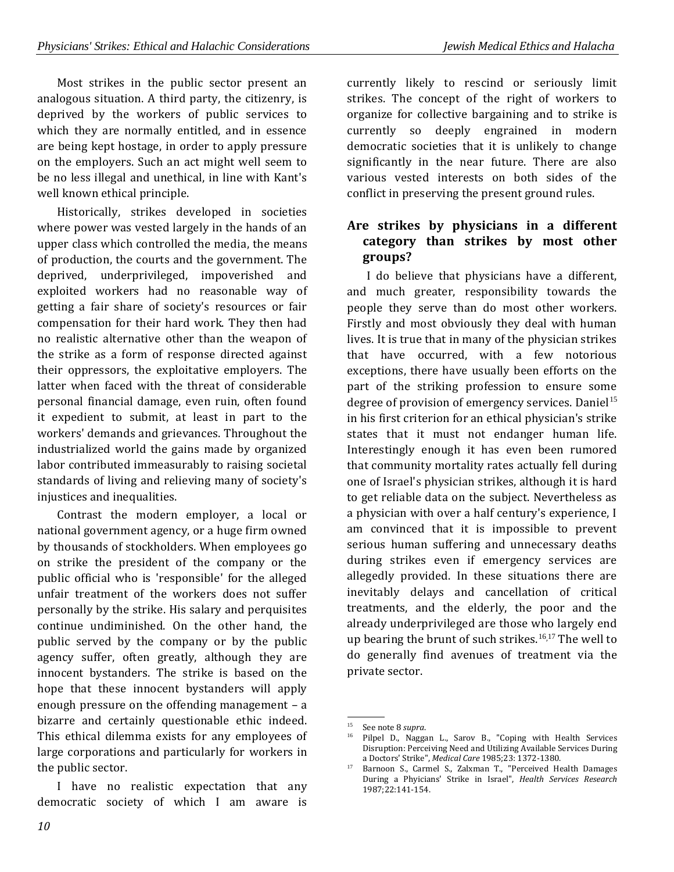Most strikes in the public sector present an analogous situation. A third party, the citizenry, is deprived by the workers of public services to which they are normally entitled, and in essence are being kept hostage, in order to apply pressure on the employers. Such an act might well seem to be no less illegal and unethical, in line with Kant's well known ethical principle.

Historically, strikes developed in societies where power was vested largely in the hands of an upper class which controlled the media, the means of production, the courts and the government. The deprived, underprivileged, impoverished and exploited workers had no reasonable way of getting a fair share of society's resources or fair compensation for their hard work. They then had no realistic alternative other than the weapon of the strike as a form of response directed against their oppressors, the exploitative employers. The latter when faced with the threat of considerable personal financial damage, even ruin, often found it expedient to submit, at least in part to the workers' demands and grievances. Throughout the industrialized world the gains made by organized labor contributed immeasurably to raising societal standards of living and relieving many of society's injustices and inequalities.

Contrast the modern employer, a local or national government agency, or a huge firm owned by thousands of stockholders. When employees go on strike the president of the company or the public official who is 'responsible' for the alleged unfair treatment of the workers does not suffer personally by the strike. His salary and perquisites continue undiminished. On the other hand, the public served by the company or by the public agency suffer, often greatly, although they are innocent bystanders. The strike is based on the hope that these innocent bystanders will apply enough pressure on the offending management – a bizarre and certainly questionable ethic indeed. This ethical dilemma exists for any employees of large corporations and particularly for workers in the public sector.

I have no realistic expectation that any democratic society of which I am aware is

currently likely to rescind or seriously limit strikes. The concept of the right of workers to organize for collective bargaining and to strike is currently so deeply engrained in modern democratic societies that it is unlikely to change significantly in the near future. There are also various vested interests on both sides of the conflict in preserving the present ground rules.

## **Are strikes by physicians in a different category than strikes by most other groups?**

I do believe that physicians have a different, and much greater, responsibility towards the people they serve than do most other workers. Firstly and most obviously they deal with human lives. It is true that in many of the physician strikes that have occurred, with a few notorious exceptions, there have usually been efforts on the part of the striking profession to ensure some degree of provision of emergency services. Daniel<sup>15</sup> in his first criterion for an ethical physician's strike states that it must not endanger human life. Interestingly enough it has even been rumored that community mortality rates actually fell during one of Israel's physician strikes, although it is hard to get reliable data on the subject. Nevertheless as a physician with over a half century's experience, I am convinced that it is impossible to prevent serious human suffering and unnecessary deaths during strikes even if emergency services are allegedly provided. In these situations there are inevitably delays and cancellation of critical treatments, and the elderly, the poor and the already underprivileged are those who largely end up bearing the brunt of such strikes.<sup>16,17</sup> The well to do generally find avenues of treatment via the private sector.

 <sup>.</sup> <sup>15</sup> See note 8 *supra*.

Pilpel D., Naggan L., Sarov B., "Coping with Health Services Disruption: Perceiving Need and Utilizing Available Services During a Doctors' Strike", *Medical Care* 1985;23: 1372-1380.

<sup>&</sup>lt;sup>17</sup> Barnoon S., Carmel S., Zalxman T., "Perceived Health Damages During a Phyicians' Strike in Israel", *Health Services Research* 1987;22:141-154.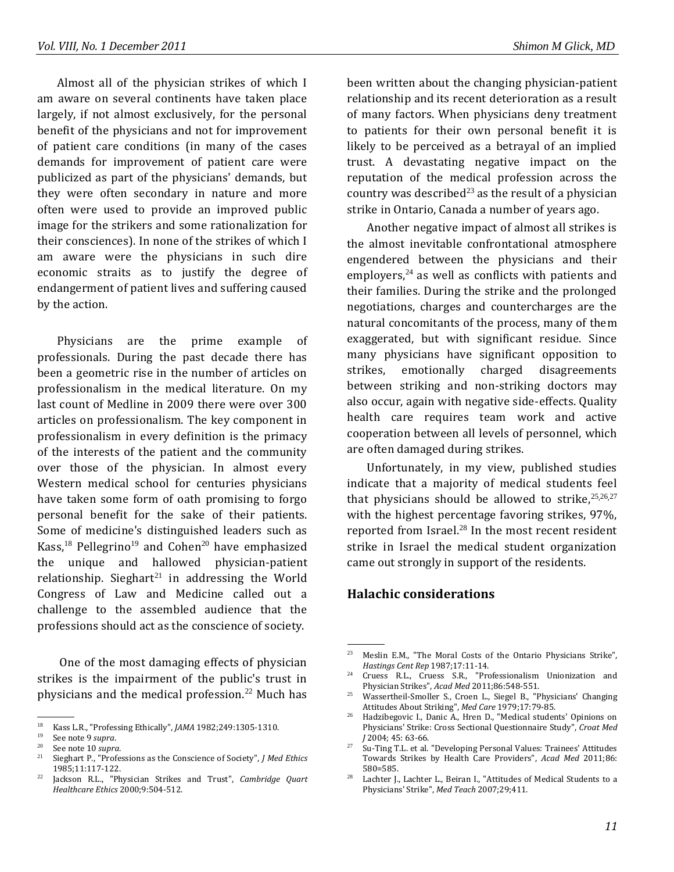Almost all of the physician strikes of which I am aware on several continents have taken place largely, if not almost exclusively, for the personal benefit of the physicians and not for improvement of patient care conditions (in many of the cases demands for improvement of patient care were publicized as part of the physicians' demands, but they were often secondary in nature and more often were used to provide an improved public image for the strikers and some rationalization for their consciences). In none of the strikes of which I am aware were the physicians in such dire economic straits as to justify the degree of endangerment of patient lives and suffering caused by the action.

Physicians are the prime example of professionals. During the past decade there has been a geometric rise in the number of articles on professionalism in the medical literature. On my last count of Medline in 2009 there were over 300 articles on professionalism. The key component in professionalism in every definition is the primacy of the interests of the patient and the community over those of the physician. In almost every Western medical school for centuries physicians have taken some form of oath promising to forgo personal benefit for the sake of their patients. Some of medicine's distinguished leaders such as Kass,<sup>18</sup> Pellegrino<sup>19</sup> and Cohen<sup>20</sup> have emphasized the unique and hallowed physician-patient relationship. Sieghart $21$  in addressing the World Congress of Law and Medicine called out a challenge to the assembled audience that the professions should act as the conscience of society.

One of the most damaging effects of physician strikes is the impairment of the public's trust in physicians and the medical profession. $22$  Much has

been written about the changing physician-patient relationship and its recent deterioration as a result of many factors. When physicians deny treatment to patients for their own personal benefit it is likely to be perceived as a betrayal of an implied trust. A devastating negative impact on the reputation of the medical profession across the country was described<sup>23</sup> as the result of a physician strike in Ontario, Canada a number of years ago.

Another negative impact of almost all strikes is the almost inevitable confrontational atmosphere engendered between the physicians and their employers, $24$  as well as conflicts with patients and their families. During the strike and the prolonged negotiations, charges and countercharges are the natural concomitants of the process, many of them exaggerated, but with significant residue. Since many physicians have significant opposition to strikes, emotionally charged disagreements between striking and non-striking doctors may also occur, again with negative side-effects. Quality health care requires team work and active cooperation between all levels of personnel, which are often damaged during strikes.

Unfortunately, in my view, published studies indicate that a majority of medical students feel that physicians should be allowed to strike,  $25,26,27$ with the highest percentage favoring strikes, 97%, reported from Israel.<sup>28</sup> In the most recent resident strike in Israel the medical student organization came out strongly in support of the residents.

## **Halachic considerations**

.

 <sup>.</sup> <sup>18</sup> Kass L.R., "Professing Ethically", *JAMA* 1982;249:1305-1310.

<sup>&</sup>lt;sup>19</sup> See note 9 *supra*.

<sup>&</sup>lt;sup>20</sup> See note 10 *supra*.

<sup>21</sup> Sieghart P., "Professions as the Conscience of Society", *J Med Ethics* 1985;11:117-122.

<sup>22</sup> Jackson R.L., "Physician Strikes and Trust", *Cambridge Quart Healthcare Ethics* 2000;9:504-512.

<sup>23</sup> Meslin E.M., "The Moral Costs of the Ontario Physicians Strike", *Hastings Cent Rep* 1987;17:11-14.

<sup>&</sup>lt;sup>24</sup> Cruess R.L., Cruess S.R., "Professionalism Unionization and Physician Strikes", *Acad Med* 2011;86:548-551.

<sup>25</sup> Wassertheil-Smoller S., Croen L., Siegel B., "Physicians' Changing Attitudes About Striking", *Med Care* 1979;17:79-85.

<sup>26</sup> Hadzibegovic I., Danic A., Hren D., "Medical students' Opinions on Physicians' Strike: Cross Sectional Questionnaire Study", *Croat Med J* 2004; 45: 63-66.

<sup>&</sup>lt;sup>27</sup> Su-Ting T.L. et al. "Developing Personal Values: Trainees' Attitudes Towards Strikes by Health Care Providers", *Acad Med* 2011;86: 580=585.

<sup>&</sup>lt;sup>28</sup> Lachter J., Lachter L., Beiran I., "Attitudes of Medical Students to a Physicians' Strike", *Med Teach* 2007;29;411.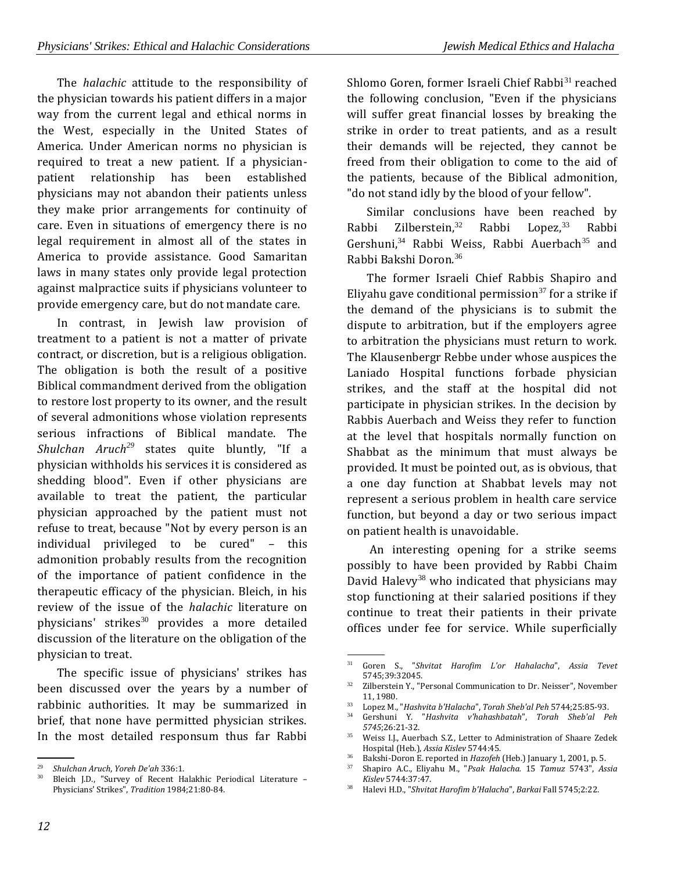The *halachic* attitude to the responsibility of the physician towards his patient differs in a major way from the current legal and ethical norms in the West, especially in the United States of America. Under American norms no physician is required to treat a new patient. If a physicianpatient relationship has been established physicians may not abandon their patients unless they make prior arrangements for continuity of care. Even in situations of emergency there is no legal requirement in almost all of the states in America to provide assistance. Good Samaritan laws in many states only provide legal protection against malpractice suits if physicians volunteer to provide emergency care, but do not mandate care.

In contrast, in Jewish law provision of treatment to a patient is not a matter of private contract, or discretion, but is a religious obligation. The obligation is both the result of a positive Biblical commandment derived from the obligation to restore lost property to its owner, and the result of several admonitions whose violation represents serious infractions of Biblical mandate. The *Shulchan Aruch<sup>29</sup>* states quite bluntly, "If a physician withholds his services it is considered as shedding blood". Even if other physicians are available to treat the patient, the particular physician approached by the patient must not refuse to treat, because "Not by every person is an individual privileged to be cured" – this admonition probably results from the recognition of the importance of patient confidence in the therapeutic efficacy of the physician. Bleich, in his review of the issue of the *halachic* literature on physicians' strikes<sup>30</sup> provides a more detailed discussion of the literature on the obligation of the physician to treat.

The specific issue of physicians' strikes has been discussed over the years by a number of rabbinic authorities. It may be summarized in brief, that none have permitted physician strikes. In the most detailed responsum thus far Rabbi

Shlomo Goren, former Israeli Chief Rabbi<sup>31</sup> reached the following conclusion, "Even if the physicians will suffer great financial losses by breaking the strike in order to treat patients, and as a result their demands will be rejected, they cannot be freed from their obligation to come to the aid of the patients, because of the Biblical admonition, "do not stand idly by the blood of your fellow".

Similar conclusions have been reached by Rabbi Zilberstein,<sup>32</sup> Rabbi Lopez,<sup>33</sup> Rabbi Gershuni,<sup>34</sup> Rabbi Weiss, Rabbi Auerbach<sup>35</sup> and Rabbi Bakshi Doron<sup>36</sup>

The former Israeli Chief Rabbis Shapiro and Eliyahu gave conditional permission<sup>37</sup> for a strike if the demand of the physicians is to submit the dispute to arbitration, but if the employers agree to arbitration the physicians must return to work. The Klausenbergr Rebbe under whose auspices the Laniado Hospital functions forbade physician strikes, and the staff at the hospital did not participate in physician strikes. In the decision by Rabbis Auerbach and Weiss they refer to function at the level that hospitals normally function on Shabbat as the minimum that must always be provided. It must be pointed out, as is obvious, that a one day function at Shabbat levels may not represent a serious problem in health care service function, but beyond a day or two serious impact on patient health is unavoidable.

An interesting opening for a strike seems possibly to have been provided by Rabbi Chaim David Halevy<sup>38</sup> who indicated that physicians may stop functioning at their salaried positions if they continue to treat their patients in their private offices under fee for service. While superficially

 <sup>.</sup> <sup>29</sup> *Shulchan Aruch*, *Yoreh De'ah* 336:1.

Bleich J.D., "Survey of Recent Halakhic Periodical Literature -Physicians' Strikes", *Tradition* 1984;21:80-84.

 <sup>.</sup> <sup>31</sup> Goren S., "*Shvitat Harofim L'or Hahalacha*", *Assia Tevet* 5745;39:32045.

<sup>&</sup>lt;sup>32</sup> Zilberstein Y., "Personal Communication to Dr. Neisser", November 11, 1980.

<sup>33</sup> Lopez M., "*Hashvita b'Halacha*", *Torah Sheb'al Peh* 5744;25:85-93.

<sup>34</sup> Gershuni Y. "*Hashvita v'hahashbatah*", *Torah Sheb'al Peh 5745*;26:21-32.

<sup>&</sup>lt;sup>35</sup> Weiss I.J., Auerbach S.Z., Letter to Administration of Shaare Zedek Hospital (Heb.), *Assia Kislev* 5744:45.

<sup>&</sup>lt;sup>36</sup> Bakshi-Doron E. reported in *Hazofeh* (Heb.) January 1, 2001, p. 5.<br><sup>37</sup> Shapiro A.C. Flivebu M. "Peak Halacha, 15, Tamua 5742", 4c

<sup>37</sup> Shapiro A.C., Eliyahu M., "*Psak Halacha.* 15 *Tamuz* 5743", *Assia Kislev* 5744:37:47.

<sup>38</sup> Halevi H.D., "*Shvitat Harofim b'Halacha*", *Barkai* Fall 5745;2:22.